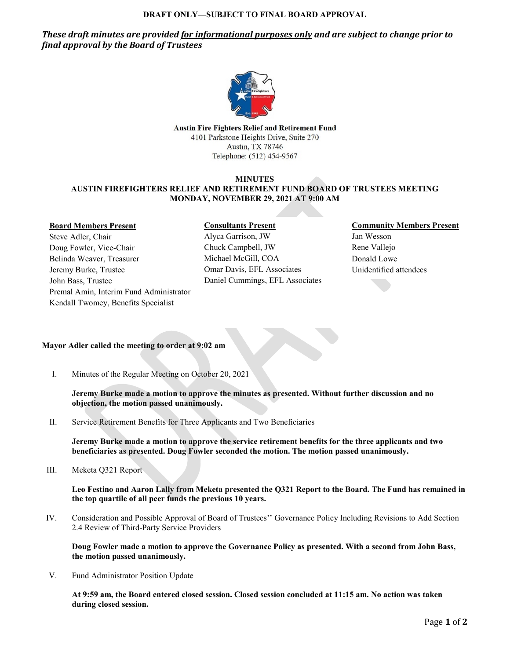#### **DRAFT ONLY—SUBJECT TO FINAL BOARD APPROVAL**

*These draft minutes are provided for informational purposes only and are subject to change prior to final approval by the Board of Trustees*



**Austin Fire Fighters Relief and Retirement Fund** 4101 Parkstone Heights Drive, Suite 270 Austin, TX 78746 Telephone: (512) 454-9567

### **MINUTES AUSTIN FIREFIGHTERS RELIEF AND RETIREMENT FUND BOARD OF TRUSTEES MEETING MONDAY, NOVEMBER 29, 2021 AT 9:00 AM**

#### **Board Members Present**

Steve Adler, Chair Doug Fowler, Vice-Chair Belinda Weaver, Treasurer Jeremy Burke, Trustee John Bass, Trustee Premal Amin, Interim Fund Administrator Kendall Twomey, Benefits Specialist

# **Consultants Present**

Alyca Garrison, JW Chuck Campbell, JW Michael McGill, COA Omar Davis, EFL Associates Daniel Cummings, EFL Associates

# **Community Members Present**

Jan Wesson Rene Vallejo Donald Lowe Unidentified attendees

# **Mayor Adler called the meeting to order at 9:02 am**

I. Minutes of the Regular Meeting on October 20, 2021

**Jeremy Burke made a motion to approve the minutes as presented. Without further discussion and no objection, the motion passed unanimously.**

II. Service Retirement Benefits for Three Applicants and Two Beneficiaries

**Jeremy Burke made a motion to approve the service retirement benefits for the three applicants and two beneficiaries as presented. Doug Fowler seconded the motion. The motion passed unanimously.**

III. Meketa Q321 Report

**Leo Festino and Aaron Lally from Meketa presented the Q321 Report to the Board. The Fund has remained in the top quartile of all peer funds the previous 10 years.** 

IV. Consideration and Possible Approval of Board of Trustees'' Governance Policy Including Revisions to Add Section 2.4 Review of Third-Party Service Providers

**Doug Fowler made a motion to approve the Governance Policy as presented. With a second from John Bass, the motion passed unanimously.**

V. Fund Administrator Position Update

**At 9:59 am, the Board entered closed session. Closed session concluded at 11:15 am. No action was taken during closed session.**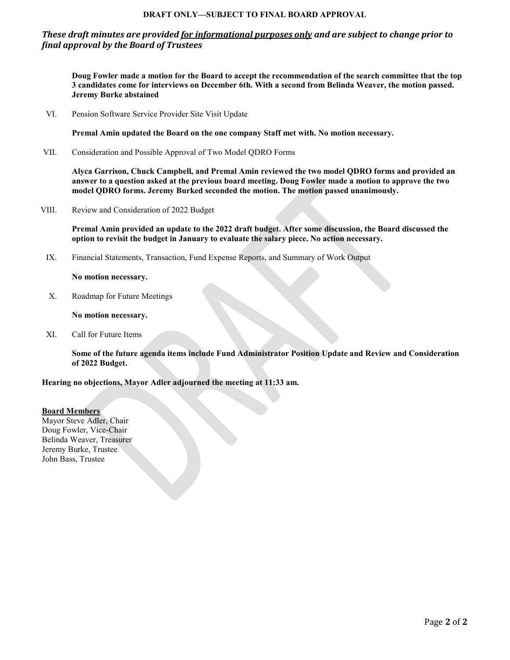# **DRAFT ONLY—SUBJECT TO FINAL BOARD APPROVAL**

# *These draft minutes are provided for informational purposes only and are subject to change prior to final approval by the Board of Trustees*

**Doug Fowler made a motion for the Board to accept the recommendation of the search committee that the top 3 candidates come for interviews on December 6th. With a second from Belinda Weaver, the motion passed. Jeremy Burke abstained** 

VI. Pension Software Service Provider Site Visit Update

**Premal Amin updated the Board on the one company Staff met with. No motion necessary.**

VII. Consideration and Possible Approval of Two Model QDRO Forms

**Alyca Garrison, Chuck Campbell, and Premal Amin reviewed the two model QDRO forms and provided an answer to a question asked at the previous board meeting. Doug Fowler made a motion to approve the two model QDRO forms. Jeremy Burked seconded the motion. The motion passed unanimously.**

VIII. Review and Consideration of 2022 Budget

**Premal Amin provided an update to the 2022 draft budget. After some discussion, the Board discussed the option to revisit the budget in January to evaluate the salary piece. No action necessary.** 

IX. Financial Statements, Transaction, Fund Expense Reports, and Summary of Work Output

**No motion necessary.** 

X. Roadmap for Future Meetings

**No motion necessary.** 

XI. Call for Future Items

**Some of the future agenda items include Fund Administrator Position Update and Review and Consideration of 2022 Budget.**

**Hearing no objections, Mayor Adler adjourned the meeting at 11:33 am.**

**Board Members** Mayor Steve Adler, Chair Doug Fowler, Vice-Chair Belinda Weaver, Treasurer Jeremy Burke, Trustee John Bass, Trustee